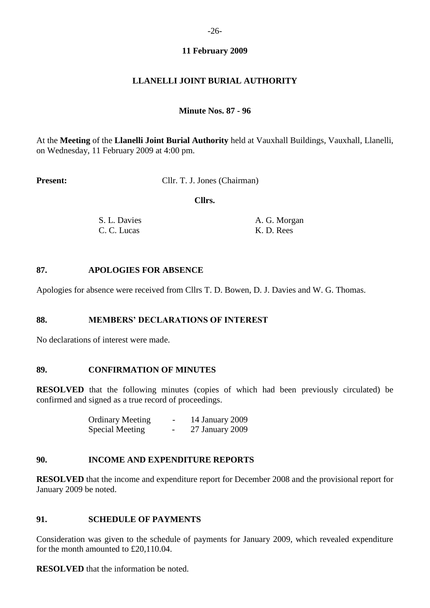# **11 February 2009**

# **LLANELLI JOINT BURIAL AUTHORITY**

### **Minute Nos. 87 - 96**

At the **Meeting** of the **Llanelli Joint Burial Authority** held at Vauxhall Buildings, Vauxhall, Llanelli, on Wednesday, 11 February 2009 at 4:00 pm.

**Present:** Cllr. T. J. Jones (Chairman)

 **Cllrs.**

| S. L. Davies | A. G. Morgan |
|--------------|--------------|
| C. C. Lucas  | K. D. Rees   |

#### **87. APOLOGIES FOR ABSENCE**

Apologies for absence were received from Cllrs T. D. Bowen, D. J. Davies and W. G. Thomas.

### **88. MEMBERS' DECLARATIONS OF INTEREST**

No declarations of interest were made.

#### **89. CONFIRMATION OF MINUTES**

**RESOLVED** that the following minutes (copies of which had been previously circulated) be confirmed and signed as a true record of proceedings.

| <b>Ordinary Meeting</b> | $\overline{\phantom{0}}$ | 14 January 2009 |
|-------------------------|--------------------------|-----------------|
| <b>Special Meeting</b>  |                          | 27 January 2009 |

### **90. INCOME AND EXPENDITURE REPORTS**

**RESOLVED** that the income and expenditure report for December 2008 and the provisional report for January 2009 be noted.

### **91. SCHEDULE OF PAYMENTS**

Consideration was given to the schedule of payments for January 2009, which revealed expenditure for the month amounted to £20,110.04.

**RESOLVED** that the information be noted.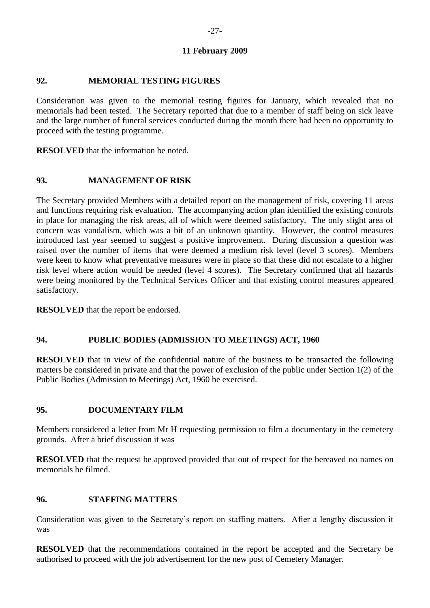# **11 February 2009**

### **92. MEMORIAL TESTING FIGURES**

Consideration was given to the memorial testing figures for January, which revealed that no memorials had been tested. The Secretary reported that due to a member of staff being on sick leave and the large number of funeral services conducted during the month there had been no opportunity to proceed with the testing programme.

**RESOLVED** that the information be noted.

### **93. MANAGEMENT OF RISK**

The Secretary provided Members with a detailed report on the management of risk, covering 11 areas and functions requiring risk evaluation. The accompanying action plan identified the existing controls in place for managing the risk areas, all of which were deemed satisfactory. The only slight area of concern was vandalism, which was a bit of an unknown quantity. However, the control measures introduced last year seemed to suggest a positive improvement. During discussion a question was raised over the number of items that were deemed a medium risk level (level 3 scores). Members were keen to know what preventative measures were in place so that these did not escalate to a higher risk level where action would be needed (level 4 scores). The Secretary confirmed that all hazards were being monitored by the Technical Services Officer and that existing control measures appeared satisfactory.

**RESOLVED** that the report be endorsed.

### **94. PUBLIC BODIES (ADMISSION TO MEETINGS) ACT, 1960**

**RESOLVED** that in view of the confidential nature of the business to be transacted the following matters be considered in private and that the power of exclusion of the public under Section 1(2) of the Public Bodies (Admission to Meetings) Act, 1960 be exercised.

## **95. DOCUMENTARY FILM**

Members considered a letter from Mr H requesting permission to film a documentary in the cemetery grounds. After a brief discussion it was

**RESOLVED** that the request be approved provided that out of respect for the bereaved no names on memorials be filmed.

### **96. STAFFING MATTERS**

Consideration was given to the Secretary's report on staffing matters. After a lengthy discussion it was

**RESOLVED** that the recommendations contained in the report be accepted and the Secretary be authorised to proceed with the job advertisement for the new post of Cemetery Manager.